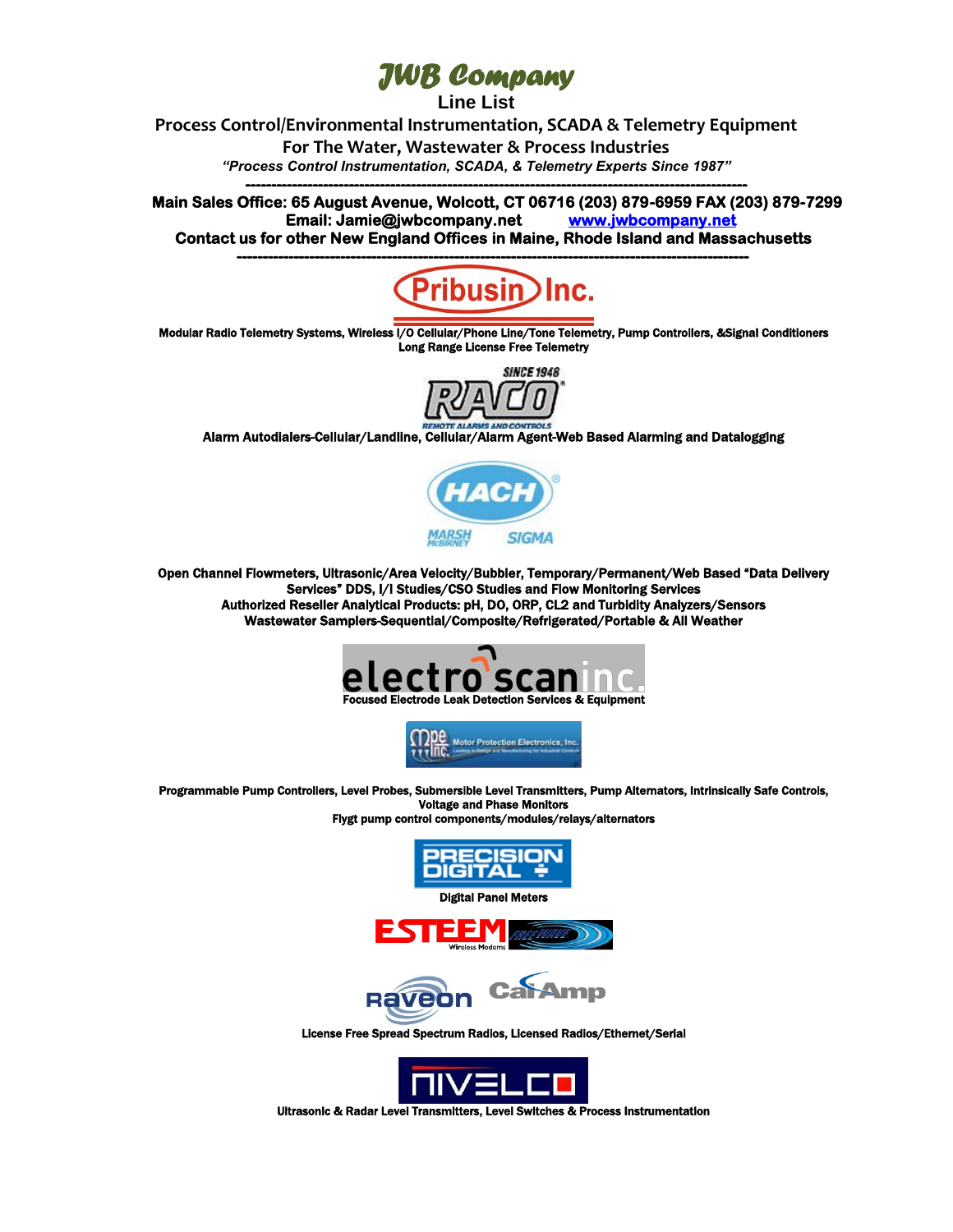## *[JWB Company](http://www.jwbcompany.net/)*

**Line List**

**Process Control/Environmental Instrumentation, SCADA & Telemetry Equipment**

**For The Water, Wastewater & Process Industries**

*"Process Control Instrumentation, SCADA, & Telemetry Experts Since 1987"* **-------------------------------------------------------------------------------------------------** 

**Main Sales Office: 65 August Avenue, Wolcott, CT 06716 (203) 879-6959 FAX (203) 879-7299 Email: Jamie@jwbcompany.net [www.jwbcompany.net](http://www.jwbcompany.net/)  Contact us for other New England Offices in Maine, Rhode Island and Massachusetts** 



 Modular Radio Telemetry Systems, Wireless I/O Cellular/Phone Line/Tone Telemetry, Pump Controllers, &Signal Conditioners Long Range License Free Telemetry



Alarm Autodialers-Cellular/Landline, Cellular/Alarm Agent-Web Based Alarming and Datalogging



Open Channel Flowmeters, Ultrasonic/Area Velocity/Bubbler, Temporary/Permanent/Web Based "Data Delivery Services" DDS, I/I Studies/CSO Studies and Flow Monitoring Services Authorized Reseller Analytical Products: pH, DO, ORP, CL2 and Turbidity Analyzers/Sensors Wastewater Samplers-Sequential/Composite/Refrigerated/Portable & All Weather





Programmable Pump Controllers, Level Probes, Submersible Level Transmitters, Pump Alternators, Intrinsically Safe Controls, Voltage and Phase Monitors









 License Free Spread Spectrum Radios, Licensed Radios/Ethernet/Serial



 Ultrasonic & Radar Level Transmitters, Level Switches & Process Instrumentation